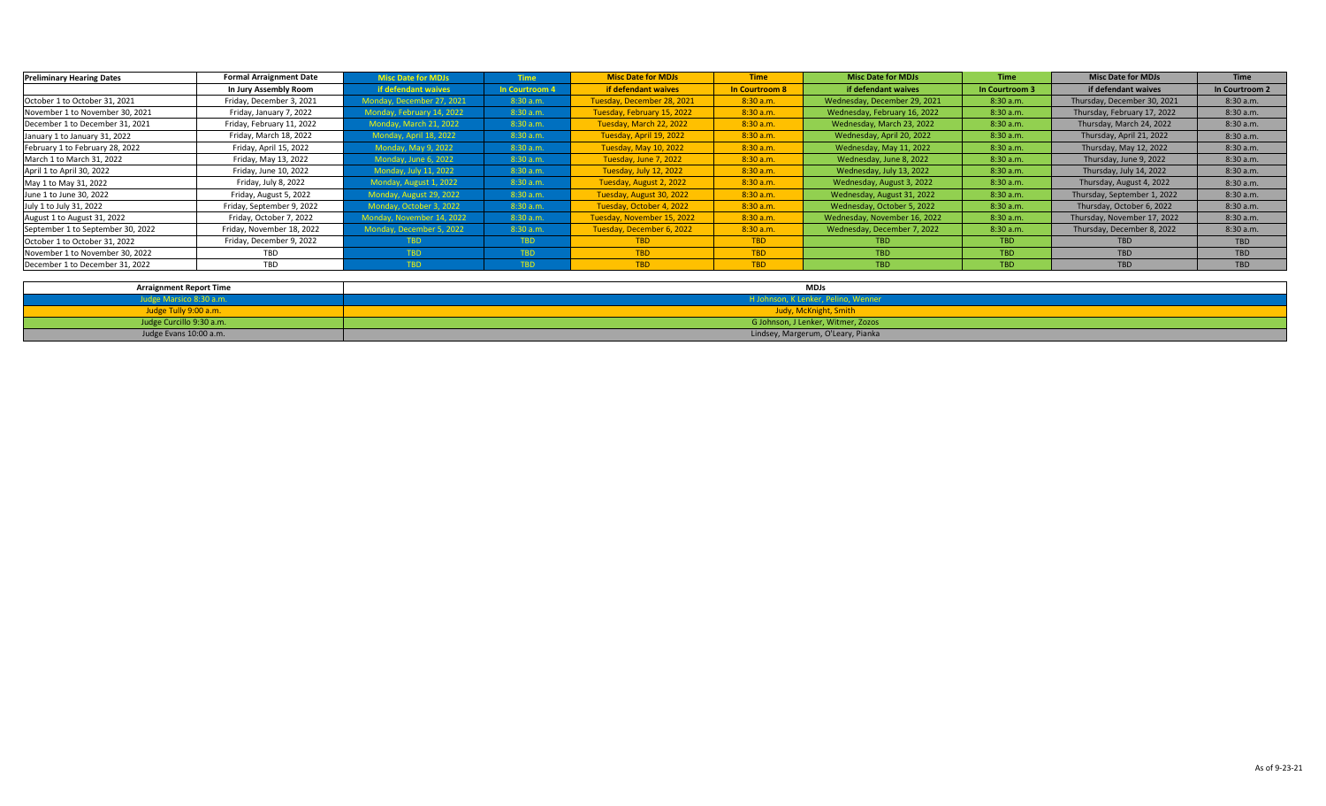| <b>Preliminary Hearing Dates</b>  | <b>Formal Arraignment Date</b> | <b>Misc Date for MDJs</b> | <b>Time</b>    | <b>Misc Date for MDJs</b>  | <b>Time</b>    | <b>Misc Date for MDJs</b>    | <b>Time</b>    | <b>Misc Date for MDJs</b>   | <b>Time</b>    |
|-----------------------------------|--------------------------------|---------------------------|----------------|----------------------------|----------------|------------------------------|----------------|-----------------------------|----------------|
|                                   | In Jury Assembly Room          | if defendant waives       | In Courtroom 4 | if defendant waives        | In Courtroom 8 | if defendant waives          | In Courtroom 3 | if defendant waives         | In Courtroom 2 |
| October 1 to October 31, 2021     | Friday, December 3, 2021       | Monday, December 27, 2021 | 8:30 a.m.      | Tuesday, December 28, 2021 | 8:30 a.m.      | Wednesday, December 29, 2021 | 8:30 a.m.      | Thursday, December 30, 2021 | 8:30 a.m.      |
| November 1 to November 30, 2021   | Friday, January 7, 2022        | Monday, February 14, 2022 | 8:30a.m.       | Tuesday, February 15, 2022 | 8:30 a.m.      | Wednesday, February 16, 2022 | 8:30 a.m.      | Thursday, February 17, 2022 | 8:30 a.m.      |
| December 1 to December 31, 2021   | Friday, February 11, 2022      | Monday, March 21, 2022    | 8:30a.m.       | Tuesday, March 22, 2022    | 8:30 a.m.      | Wednesday, March 23, 2022    | 8:30 a.m.      | Thursday, March 24, 2022    | 8:30 a.m.      |
| January 1 to January 31, 2022     | Friday, March 18, 2022         | Monday, April 18, 2022    | 8:30 a.m.      | Tuesday, April 19, 2022    | 8:30 a.m.      | Wednesday, April 20, 2022    | 8:30 a.m.      | Thursday, April 21, 2022    | 8:30a.m.       |
| February 1 to February 28, 2022   | Friday, April 15, 2022         | Monday, May 9, 2022       | 8:30 a.m.      | Tuesday, May 10, 2022      | 8:30 a.m.      | Wednesday, May 11, 2022      | 8:30 a.m.      | Thursday, May 12, 2022      | 8:30 a.m.      |
| March 1 to March 31, 2022         | Friday, May 13, 2022           | Monday, June 6, 2022      | 8:30a.m.       | Tuesday, June 7, 2022      | 8:30 a.m.      | Wednesday, June 8, 2022      | 8:30 a.m.      | Thursday, June 9, 2022      | 8:30a.m.       |
| April 1 to April 30, 2022         | Friday, June 10, 2022          | Monday, July 11, 2022     | 8:30 a.m.      | Tuesday, July 12, 2022     | 8:30 a.m.      | Wednesday, July 13, 2022     | 8:30 a.m.      | Thursday, July 14, 2022     | 8:30a.m.       |
| May 1 to May 31, 2022             | Friday, July 8, 2022           | Monday, August 1, 2022    | 8:30 a.m.      | Tuesday, August 2, 2022    | 8:30 a.m.      | Wednesday, August 3, 2022    | 8:30 a.m.      | Thursday, August 4, 2022    | 8:30 a.m.      |
| June 1 to June 30, 2022           | Friday, August 5, 2022         | Monday, August 29, 2022   | 8:30 a.m.      | Tuesday, August 30, 2022   | 8:30 a.m.      | Wednesday, August 31, 2022   | 8:30 a.m.      | Thursday, September 1, 2022 | 8:30 a.m.      |
| July 1 to July 31, 2022           | Friday, September 9, 2022      | Monday, October 3, 2022   | 8:30 a.m.      | Tuesday, October 4, 2022   | 8:30 a.m.      | Wednesday, October 5, 2022   | 8:30 a.m.      | Thursday, October 6, 2022   | 8:30a.m.       |
| August 1 to August 31, 2022       | Friday, October 7, 2022        | Monday, November 14, 2022 | 8:30a.m.       | Tuesday, November 15, 2022 | 8:30 a.m.      | Wednesday, November 16, 2022 | 8:30 a.m.      | Thursday, November 17, 2022 | 8:30 a.m.      |
| September 1 to September 30, 2022 | Friday, November 18, 2022      | Monday, December 5, 2022  | 8:30a.m.       | Tuesday, December 6, 2022  | 8:30 a.m.      | Wednesday, December 7, 2022  | 8:30 a.m.      | Thursday, December 8, 2022  | 8:30 a.m.      |
| October 1 to October 31, 2022     | Friday, December 9, 2022       | TBD.                      | TBD            | <b>TBD</b>                 | <b>TBD</b>     | <b>TBD</b>                   | TBD            | <b>TBD</b>                  | <b>TBD</b>     |
| November 1 to November 30, 2022   | TBD                            | TBD                       | TBD            | <b>TBD</b>                 | <b>TBD</b>     | <b>TBD</b>                   | TBD            | <b>TBD</b>                  | <b>TBD</b>     |
| December 1 to December 31, 2022   | TBD                            | TBD                       | TBD.           | <b>TBD</b>                 | <b>TBD</b>     | <b>TBD</b>                   | <b>TBD</b>     | <b>TBD</b>                  | <b>TBD</b>     |

| <b>Arraignment Report Time</b> | <b>MDJs</b>                         |
|--------------------------------|-------------------------------------|
| Judge Marsico 8:30 a.m.        | H Johnson, K Lenker, Pelino, Wenner |
| Judge Tully 9:00 a.m.          | Judy, McKnight, Smith               |
| Judge Curcillo 9:30 a.m.       | G Johnson, J Lenker, Witmer, Zozos  |
| Judge Evans 10:00 a.m.         | Lindsey, Margerum, O'Leary, Pianka  |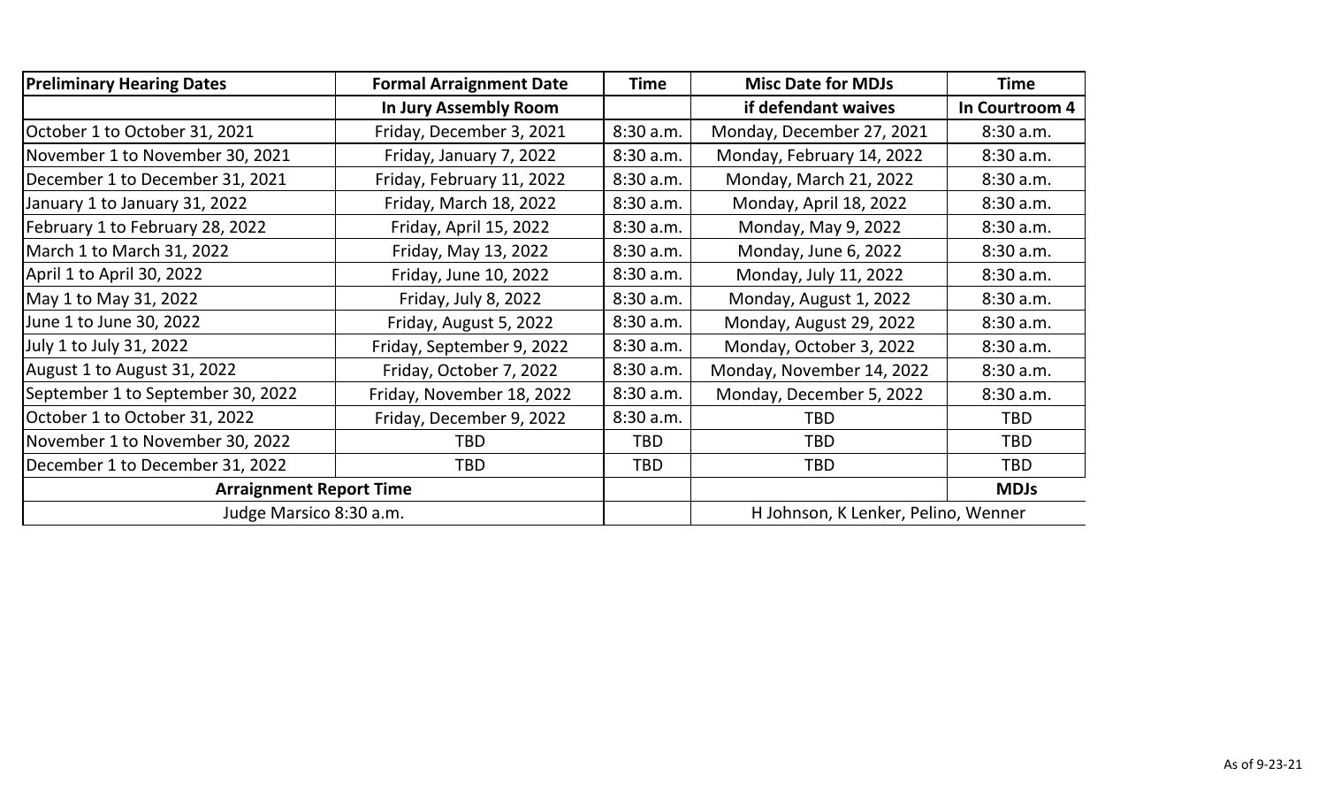| <b>Preliminary Hearing Dates</b>  | <b>Formal Arraignment Date</b> | <b>Time</b> | <b>Misc Date for MDJs</b>           | <b>Time</b>    |
|-----------------------------------|--------------------------------|-------------|-------------------------------------|----------------|
|                                   | In Jury Assembly Room          |             | if defendant waives                 | In Courtroom 4 |
| October 1 to October 31, 2021     | Friday, December 3, 2021       | 8:30 a.m.   | Monday, December 27, 2021           | 8:30a.m.       |
| November 1 to November 30, 2021   | Friday, January 7, 2022        | 8:30 a.m.   | Monday, February 14, 2022           | 8:30 a.m.      |
| December 1 to December 31, 2021   | Friday, February 11, 2022      | 8:30 a.m.   | Monday, March 21, 2022              | 8:30 a.m.      |
| January 1 to January 31, 2022     | Friday, March 18, 2022         | 8:30 a.m.   | Monday, April 18, 2022              | 8:30 a.m.      |
| February 1 to February 28, 2022   | Friday, April 15, 2022         | 8:30 a.m.   | Monday, May 9, 2022                 | 8:30 a.m.      |
| March 1 to March 31, 2022         | Friday, May 13, 2022           | 8:30 a.m.   | Monday, June 6, 2022                | 8:30 a.m.      |
| April 1 to April 30, 2022         | Friday, June 10, 2022          | 8:30a.m.    | Monday, July 11, 2022               | 8:30 a.m.      |
| May 1 to May 31, 2022             | Friday, July 8, 2022           | 8:30 a.m.   | Monday, August 1, 2022              | 8:30 a.m.      |
| June 1 to June 30, 2022           | Friday, August 5, 2022         | 8:30a.m.    | Monday, August 29, 2022             | 8:30 a.m.      |
| July 1 to July 31, 2022           | Friday, September 9, 2022      | 8:30a.m.    | Monday, October 3, 2022             | 8:30 a.m.      |
| August 1 to August 31, 2022       | Friday, October 7, 2022        | 8:30 a.m.   | Monday, November 14, 2022           | 8:30 a.m.      |
| September 1 to September 30, 2022 | Friday, November 18, 2022      | 8:30a.m.    | Monday, December 5, 2022            | 8:30 a.m.      |
| October 1 to October 31, 2022     | Friday, December 9, 2022       | 8:30 a.m.   | <b>TBD</b>                          | <b>TBD</b>     |
| November 1 to November 30, 2022   | TBD                            | <b>TBD</b>  | TBD.                                | <b>TBD</b>     |
| December 1 to December 31, 2022   | <b>TBD</b>                     | <b>TBD</b>  | <b>TBD</b>                          | <b>TBD</b>     |
| <b>Arraignment Report Time</b>    |                                |             |                                     | <b>MDJs</b>    |
| Judge Marsico 8:30 a.m.           |                                |             | H Johnson, K Lenker, Pelino, Wenner |                |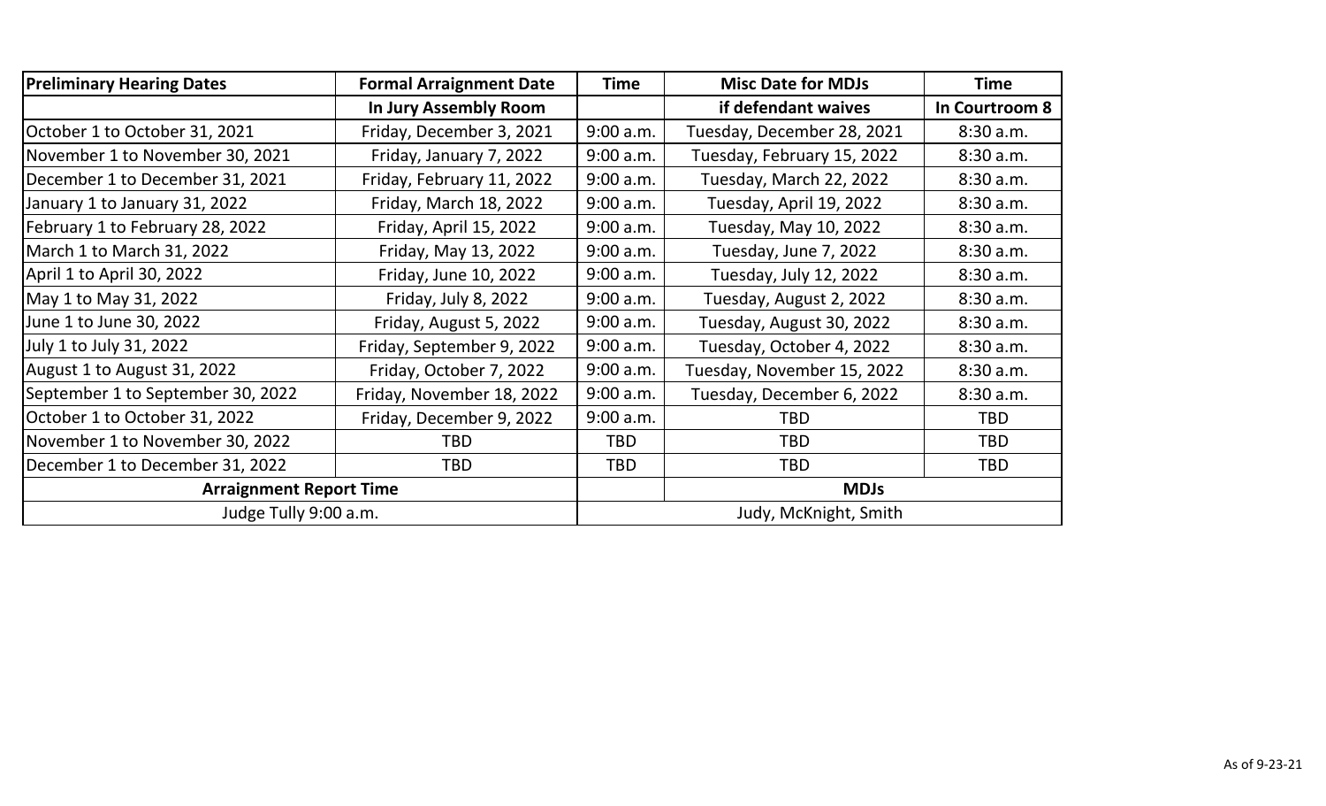| <b>Preliminary Hearing Dates</b><br><b>Formal Arraignment Date</b> |                           | Time                  | <b>Misc Date for MDJs</b>  | Time           |
|--------------------------------------------------------------------|---------------------------|-----------------------|----------------------------|----------------|
|                                                                    | In Jury Assembly Room     |                       | if defendant waives        | In Courtroom 8 |
| October 1 to October 31, 2021                                      | Friday, December 3, 2021  | 9:00 a.m.             | Tuesday, December 28, 2021 | 8:30 a.m.      |
| November 1 to November 30, 2021                                    | Friday, January 7, 2022   | 9:00 a.m.             | Tuesday, February 15, 2022 | 8:30 a.m.      |
| December 1 to December 31, 2021                                    | Friday, February 11, 2022 | 9:00 a.m.             | Tuesday, March 22, 2022    | 8:30 a.m.      |
| January 1 to January 31, 2022                                      | Friday, March 18, 2022    | 9:00 a.m.             | Tuesday, April 19, 2022    | 8:30 a.m.      |
| February 1 to February 28, 2022                                    | Friday, April 15, 2022    | 9:00 a.m.             | Tuesday, May 10, 2022      | 8:30 a.m.      |
| March 1 to March 31, 2022                                          | Friday, May 13, 2022      | 9:00 a.m.             | Tuesday, June 7, 2022      | 8:30 a.m.      |
| April 1 to April 30, 2022                                          | Friday, June 10, 2022     | 9:00 a.m.             | Tuesday, July 12, 2022     | 8:30 a.m.      |
| May 1 to May 31, 2022                                              | Friday, July 8, 2022      | 9:00 a.m.             | Tuesday, August 2, 2022    | 8:30 a.m.      |
| June 1 to June 30, 2022                                            | Friday, August 5, 2022    | 9:00 a.m.             | Tuesday, August 30, 2022   | 8:30 a.m.      |
| July 1 to July 31, 2022                                            | Friday, September 9, 2022 | 9:00 a.m.             | Tuesday, October 4, 2022   | 8:30a.m.       |
| August 1 to August 31, 2022                                        | Friday, October 7, 2022   | 9:00 a.m.             | Tuesday, November 15, 2022 | 8:30 a.m.      |
| September 1 to September 30, 2022                                  | Friday, November 18, 2022 | 9:00 a.m.             | Tuesday, December 6, 2022  | 8:30 a.m.      |
| October 1 to October 31, 2022                                      | Friday, December 9, 2022  | 9:00 a.m.             | <b>TBD</b>                 | <b>TBD</b>     |
| November 1 to November 30, 2022                                    | TBD                       | <b>TBD</b>            | <b>TBD</b>                 | <b>TBD</b>     |
| December 1 to December 31, 2022                                    | <b>TBD</b>                | <b>TBD</b>            | <b>TBD</b>                 | <b>TBD</b>     |
| <b>Arraignment Report Time</b>                                     |                           |                       | <b>MDJs</b>                |                |
| Judge Tully 9:00 a.m.                                              |                           | Judy, McKnight, Smith |                            |                |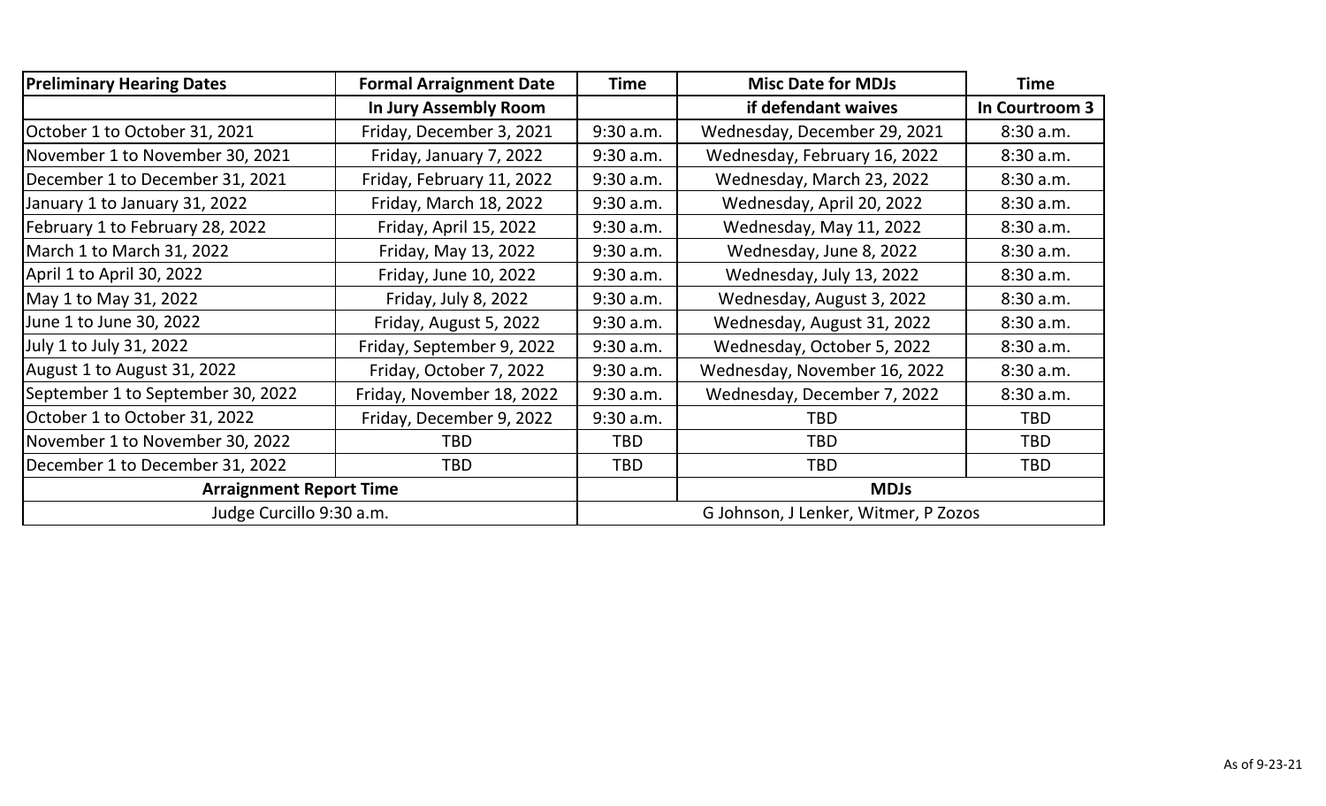| <b>Preliminary Hearing Dates</b>  | <b>Formal Arraignment Date</b><br><b>Misc Date for MDJs</b><br><b>Time</b> |            | <b>Time</b>                          |                |
|-----------------------------------|----------------------------------------------------------------------------|------------|--------------------------------------|----------------|
|                                   | In Jury Assembly Room                                                      |            | if defendant waives                  | In Courtroom 3 |
| October 1 to October 31, 2021     | Friday, December 3, 2021                                                   | 9:30 a.m.  | Wednesday, December 29, 2021         | 8:30 a.m.      |
| November 1 to November 30, 2021   | Friday, January 7, 2022                                                    | 9:30 a.m.  | Wednesday, February 16, 2022         | 8:30 a.m.      |
| December 1 to December 31, 2021   | Friday, February 11, 2022                                                  | 9:30 a.m.  | Wednesday, March 23, 2022            | 8:30 a.m.      |
| January 1 to January 31, 2022     | Friday, March 18, 2022                                                     | 9:30 a.m.  | Wednesday, April 20, 2022            | 8:30 a.m.      |
| February 1 to February 28, 2022   | Friday, April 15, 2022                                                     | 9:30 a.m.  | Wednesday, May 11, 2022              | 8:30 a.m.      |
| March 1 to March 31, 2022         | Friday, May 13, 2022                                                       | 9:30 a.m.  | Wednesday, June 8, 2022              | 8:30 a.m.      |
| April 1 to April 30, 2022         | Friday, June 10, 2022                                                      | 9:30 a.m.  | Wednesday, July 13, 2022             | 8:30 a.m.      |
| May 1 to May 31, 2022             | Friday, July 8, 2022                                                       | 9:30 a.m.  | Wednesday, August 3, 2022            | 8:30 a.m.      |
| June 1 to June 30, 2022           | Friday, August 5, 2022                                                     | 9:30 a.m.  | Wednesday, August 31, 2022           | 8:30 a.m.      |
| July 1 to July 31, 2022           | Friday, September 9, 2022                                                  | 9:30 a.m.  | Wednesday, October 5, 2022           | 8:30 a.m.      |
| August 1 to August 31, 2022       | Friday, October 7, 2022                                                    | 9:30 a.m.  | Wednesday, November 16, 2022         | 8:30 a.m.      |
| September 1 to September 30, 2022 | Friday, November 18, 2022                                                  | 9:30 a.m.  | Wednesday, December 7, 2022          | 8:30 a.m.      |
| October 1 to October 31, 2022     | Friday, December 9, 2022                                                   | 9:30 a.m.  | <b>TBD</b>                           | <b>TBD</b>     |
| November 1 to November 30, 2022   | TBD                                                                        | <b>TBD</b> | <b>TBD</b>                           | <b>TBD</b>     |
| December 1 to December 31, 2022   | <b>TBD</b>                                                                 | <b>TBD</b> | <b>TBD</b>                           | <b>TBD</b>     |
| <b>Arraignment Report Time</b>    |                                                                            |            | <b>MDJs</b>                          |                |
| Judge Curcillo 9:30 a.m.          |                                                                            |            | G Johnson, J Lenker, Witmer, P Zozos |                |